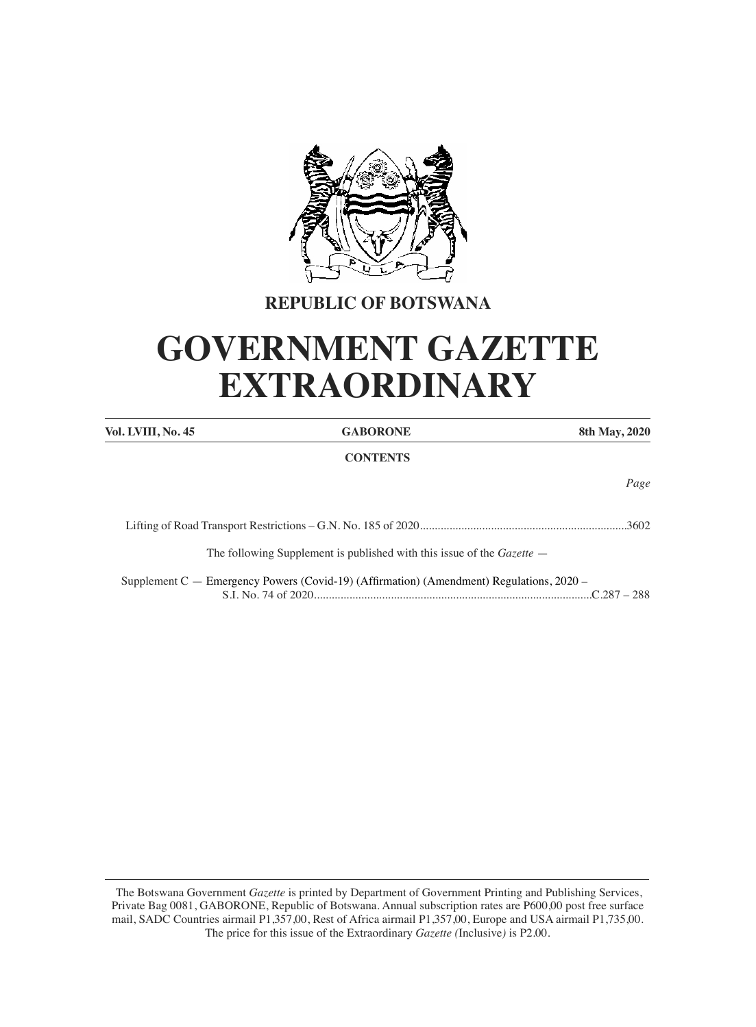

## **REPUBLIC OF BOTSWANA**

# **GOVERNMENT GAZETTE EXTRAORDINARY**

| Vol. LVIII, No. 45 | <b>GABORONE</b>                                                                              | 8th May, 2020 |
|--------------------|----------------------------------------------------------------------------------------------|---------------|
|                    | <b>CONTENTS</b>                                                                              |               |
|                    |                                                                                              | Page          |
|                    |                                                                                              | 3602          |
|                    | The following Supplement is published with this issue of the <i>Gazette</i> –                |               |
|                    | Supplement $C$ — Emergency Powers (Covid-19) (Affirmation) (Amendment) Regulations, $2020$ – |               |

The Botswana Government Gazette is printed by Department of Government Printing and Publishing Services, Private Bag 0081, GABORONE, Republic of Botswana. Annual subscription rates are P600,00 post free surface mail, SADC Countries airmail P1,357,00, Rest of Africa airmail P1,357,00, Europe and USA airmail P1,735,00. The price for this issue of the Extraordinary Gazette (Inclusive) is P2.00.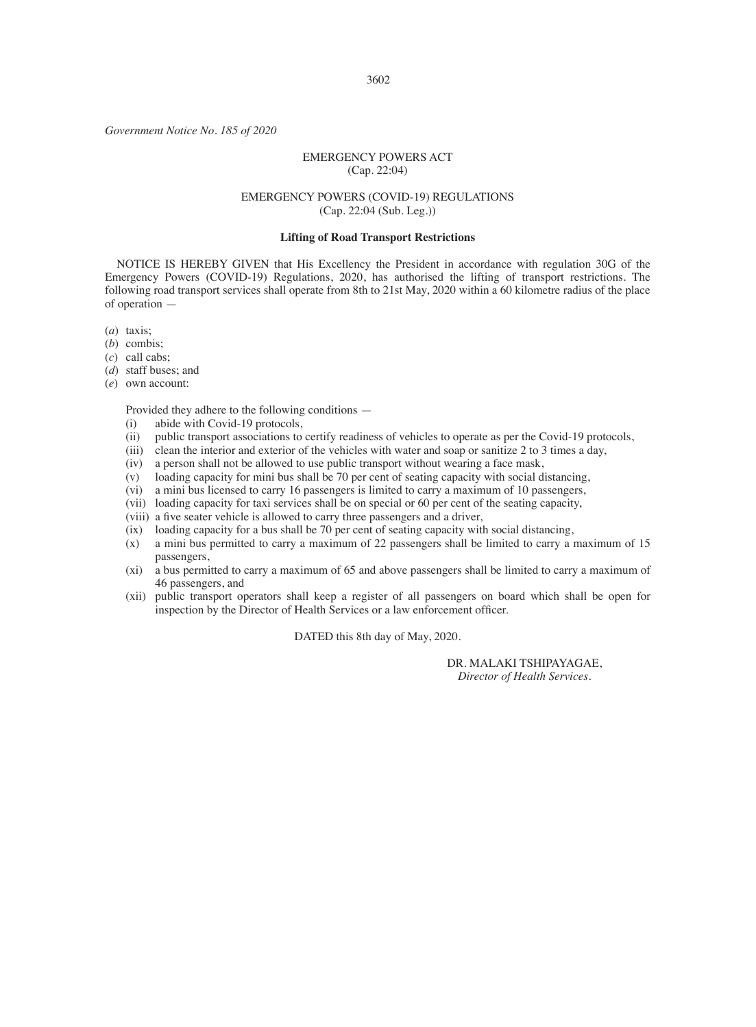#### 3602

*Government Notice No. 185 of 2020*

#### EMERGENCY POWERS ACT (Cap. 22:04)

#### EMERGENCY POWERS (COVID-19) REGULATIONS (Cap. 22:04 (Sub. Leg.))

#### **Lifting of Road Transport Restrictions**

 NOTICE IS HEREBY GIVEN that His Excellency the President in accordance with regulation 30G of the Emergency Powers (COVID-19) Regulations, 2020, has authorised the lifting of transport restrictions. The following road transport services shall operate from 8th to 21st May, 2020 within a 60 kilometre radius of the place of operation —

(*a*) taxis;

- (*b*) combis;
- (*c*) call cabs;
- (*d*) staff buses; and
- (*e*) own account:

Provided they adhere to the following conditions —

- (i) abide with Covid-19 protocols,
- (ii) public transport associations to certify readiness of vehicles to operate as per the Covid-19 protocols,
- (iii) clean the interior and exterior of the vehicles with water and soap or sanitize 2 to 3 times a day,
- (iv) a person shall not be allowed to use public transport without wearing a face mask,
- (v) loading capacity for mini bus shall be 70 per cent of seating capacity with social distancing,
- (vi) a mini bus licensed to carry 16 passengers is limited to carry a maximum of 10 passengers,
- (vii) loading capacity for taxi services shall be on special or 60 per cent of the seating capacity,
- (viii) a five seater vehicle is allowed to carry three passengers and a driver,
- (ix) loading capacity for a bus shall be 70 per cent of seating capacity with social distancing,
- (x) a mini bus permitted to carry a maximum of 22 passengers shall be limited to carry a maximum of 15 passengers,
- (xi) a bus permitted to carry a maximum of 65 and above passengers shall be limited to carry a maximum of 46 passengers, and
- (xii) public transport operators shall keep a register of all passengers on board which shall be open for inspection by the Director of Health Services or a law enforcement officer.

DATED this 8th day of May, 2020.

DR. MALAKI TSHIPAYAGAE, *Director of Health Services.*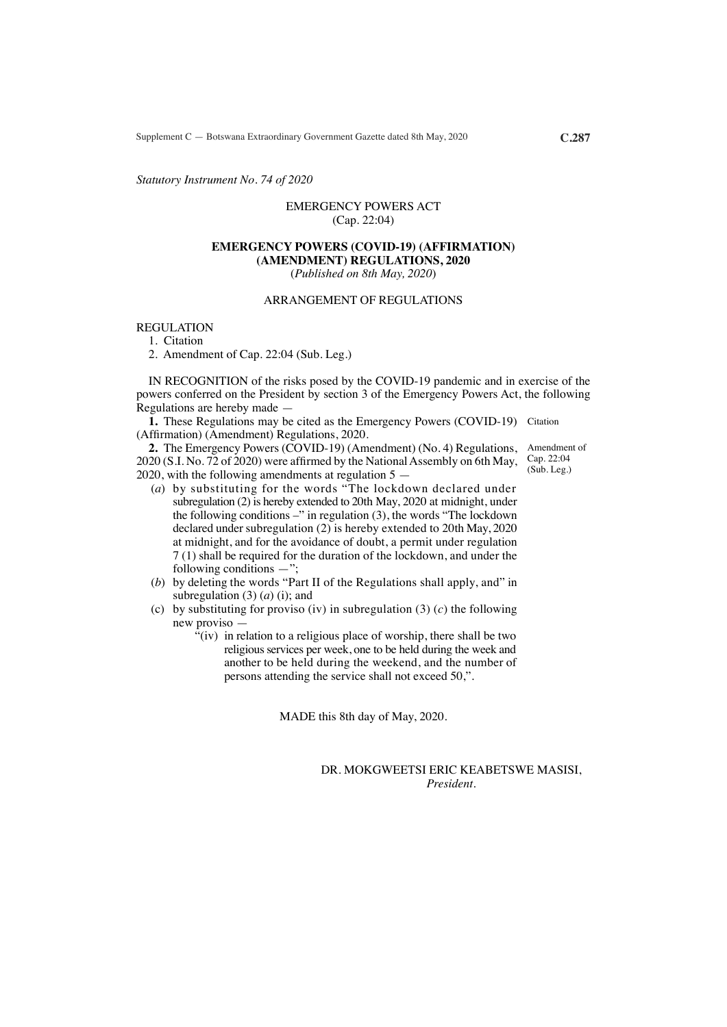Supplement C — Botswana Extraordinary Government Gazette dated 8th May, 2020 **C.287**

*Statutory Instrument No. 74 of 2020*

### EMERGENCY POWERS ACT (Cap. 22:04)

#### **EMERGENCY POWERS (COVID-19) (AFFIRMATION) (AMENDMENT) REGULATIONS, 2020**

(*Published on 8th May, 2020*)

## ARRANGEMENT OF REGULATIONS

REGULATION

1. Citation

2. Amendment of Cap. 22:04 (Sub. Leg.)

 IN RECOGNITION of the risks posed by the COVID-19 pandemic and in exercise of the powers conferred on the President by section 3 of the Emergency Powers Act, the following Regulations are hereby made —

**1.** These Regulations may be cited as the Emergency Powers (COVID-19) Citation (Affirmation) (Amendment) Regulations, 2020.

**2.** The Emergency Powers (COVID-19) (Amendment) (No. 4) Regulations,  $2020$  (S.I. No. 72 of 2020) were affirmed by the National Assembly on 6th May, 2020, with the following amendments at regulation 5 —

- (*a*) by substituting for the words "The lockdown declared under subregulation (2) is hereby extended to 20th May, 2020 at midnight, under the following conditions –" in regulation (3), the words "The lockdown declared under subregulation (2) is hereby extended to 20th May, 2020 at midnight, and for the avoidance of doubt, a permit under regulation 7 (1) shall be required for the duration of the lockdown, and under the following conditions  $-$ ";
- (*b*) by deleting the words "Part II of the Regulations shall apply, and" in subregulation (3) (*a*) (i); and
- (c) by substituting for proviso (iv) in subregulation (3) (*c*) the following new proviso —
	- "(iv) in relation to a religious place of worship, there shall be two religious services per week, one to be held during the week and another to be held during the weekend, and the number of persons attending the service shall not exceed 50,".

MADE this 8th day of May, 2020.

DR. MOKGWEETSI ERIC KEABETSWE MASISI, *President*.

Amendment of Cap. 22:04 (Sub. Leg.)